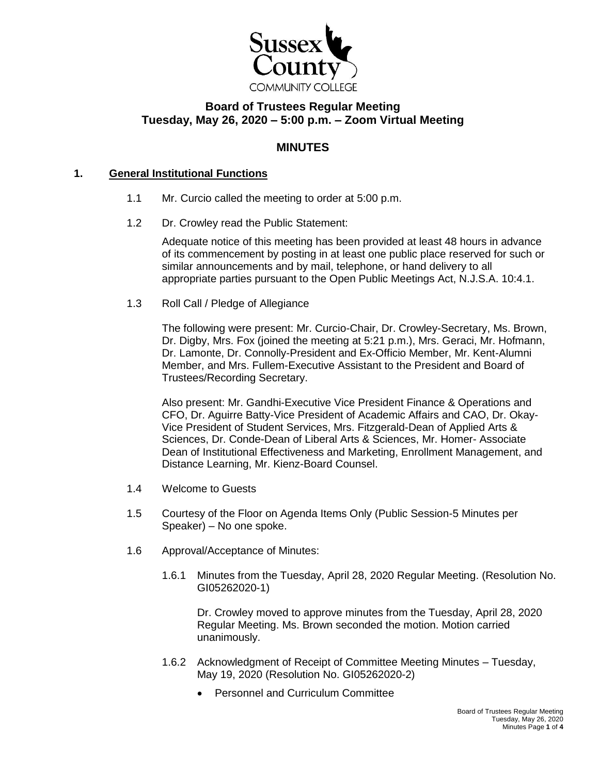

# **Board of Trustees Regular Meeting Tuesday, May 26, 2020 – 5:00 p.m. – Zoom Virtual Meeting**

## **MINUTES**

#### **1. General Institutional Functions**

- 1.1 Mr. Curcio called the meeting to order at 5:00 p.m.
- 1.2 Dr. Crowley read the Public Statement:

Adequate notice of this meeting has been provided at least 48 hours in advance of its commencement by posting in at least one public place reserved for such or similar announcements and by mail, telephone, or hand delivery to all appropriate parties pursuant to the Open Public Meetings Act, N.J.S.A. 10:4.1.

1.3 Roll Call / Pledge of Allegiance

The following were present: Mr. Curcio-Chair, Dr. Crowley-Secretary, Ms. Brown, Dr. Digby, Mrs. Fox (joined the meeting at 5:21 p.m.), Mrs. Geraci, Mr. Hofmann, Dr. Lamonte, Dr. Connolly-President and Ex-Officio Member, Mr. Kent-Alumni Member, and Mrs. Fullem-Executive Assistant to the President and Board of Trustees/Recording Secretary.

Also present: Mr. Gandhi-Executive Vice President Finance & Operations and CFO, Dr. Aguirre Batty-Vice President of Academic Affairs and CAO, Dr. Okay-Vice President of Student Services, Mrs. Fitzgerald-Dean of Applied Arts & Sciences, Dr. Conde-Dean of Liberal Arts & Sciences, Mr. Homer- Associate Dean of Institutional Effectiveness and Marketing, Enrollment Management, and Distance Learning, Mr. Kienz-Board Counsel.

- 1.4 Welcome to Guests
- 1.5 Courtesy of the Floor on Agenda Items Only (Public Session-5 Minutes per Speaker) – No one spoke.
- 1.6 Approval/Acceptance of Minutes:
	- 1.6.1 Minutes from the Tuesday, April 28, 2020 Regular Meeting. (Resolution No. GI05262020-1)

Dr. Crowley moved to approve minutes from the Tuesday, April 28, 2020 Regular Meeting. Ms. Brown seconded the motion. Motion carried unanimously.

- 1.6.2 Acknowledgment of Receipt of Committee Meeting Minutes Tuesday, May 19, 2020 (Resolution No. GI05262020-2)
	- Personnel and Curriculum Committee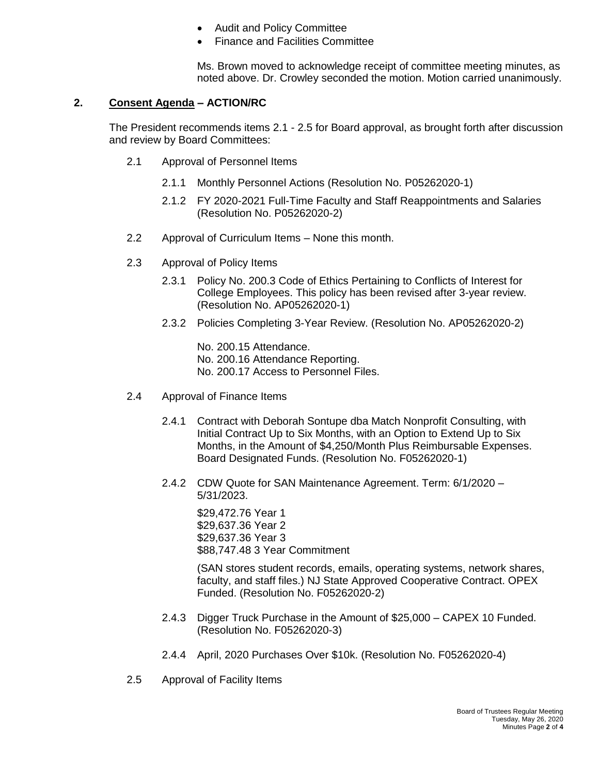- Audit and Policy Committee
- Finance and Facilities Committee

Ms. Brown moved to acknowledge receipt of committee meeting minutes, as noted above. Dr. Crowley seconded the motion. Motion carried unanimously.

#### **2. Consent Agenda – ACTION/RC**

The President recommends items 2.1 - 2.5 for Board approval, as brought forth after discussion and review by Board Committees:

- 2.1 Approval of Personnel Items
	- 2.1.1 Monthly Personnel Actions (Resolution No. P05262020-1)
	- 2.1.2 FY 2020-2021 Full-Time Faculty and Staff Reappointments and Salaries (Resolution No. P05262020-2)
- 2.2 Approval of Curriculum Items None this month.
- 2.3 Approval of Policy Items
	- 2.3.1 Policy No. 200.3 Code of Ethics Pertaining to Conflicts of Interest for College Employees. This policy has been revised after 3-year review. (Resolution No. AP05262020-1)
	- 2.3.2 Policies Completing 3-Year Review. (Resolution No. AP05262020-2)
		- No. 200.15 Attendance.
		- No. 200.16 Attendance Reporting.
		- No. 200.17 Access to Personnel Files.
- 2.4 Approval of Finance Items
	- 2.4.1 Contract with Deborah Sontupe dba Match Nonprofit Consulting, with Initial Contract Up to Six Months, with an Option to Extend Up to Six Months, in the Amount of \$4,250/Month Plus Reimbursable Expenses. Board Designated Funds. (Resolution No. F05262020-1)
	- 2.4.2 CDW Quote for SAN Maintenance Agreement. Term: 6/1/2020 5/31/2023.

\$29,472.76 Year 1 \$29,637.36 Year 2 \$29,637.36 Year 3 \$88,747.48 3 Year Commitment

(SAN stores student records, emails, operating systems, network shares, faculty, and staff files.) NJ State Approved Cooperative Contract. OPEX Funded. (Resolution No. F05262020-2)

- 2.4.3 Digger Truck Purchase in the Amount of \$25,000 CAPEX 10 Funded. (Resolution No. F05262020-3)
- 2.4.4 April, 2020 Purchases Over \$10k. (Resolution No. F05262020-4)
- 2.5 Approval of Facility Items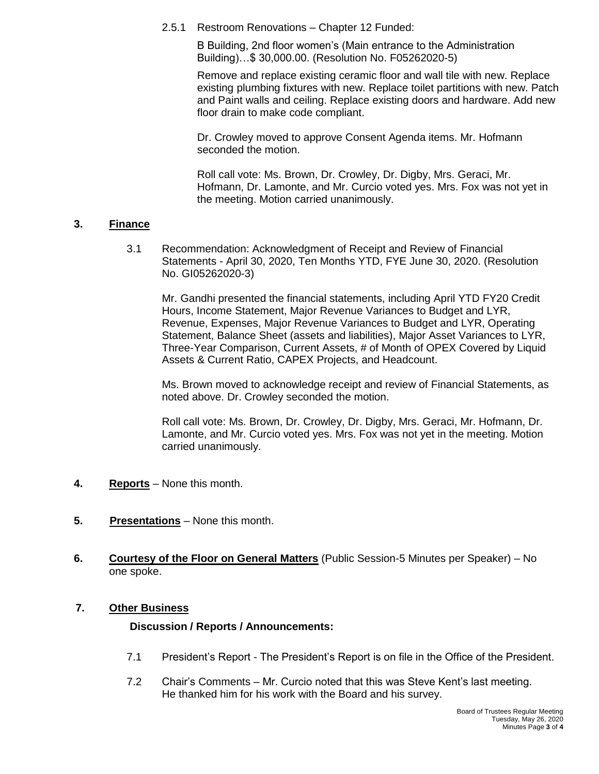2.5.1 Restroom Renovations – Chapter 12 Funded:

B Building, 2nd floor women's (Main entrance to the Administration Building)…\$ 30,000.00. (Resolution No. F05262020-5)

Remove and replace existing ceramic floor and wall tile with new. Replace existing plumbing fixtures with new. Replace toilet partitions with new. Patch and Paint walls and ceiling. Replace existing doors and hardware. Add new floor drain to make code compliant.

Dr. Crowley moved to approve Consent Agenda items. Mr. Hofmann seconded the motion.

Roll call vote: Ms. Brown, Dr. Crowley, Dr. Digby, Mrs. Geraci, Mr. Hofmann, Dr. Lamonte, and Mr. Curcio voted yes. Mrs. Fox was not yet in the meeting. Motion carried unanimously.

#### **3. Finance**

3.1 Recommendation: Acknowledgment of Receipt and Review of Financial Statements - April 30, 2020, Ten Months YTD, FYE June 30, 2020. (Resolution No. GI05262020-3)

Mr. Gandhi presented the financial statements, including April YTD FY20 Credit Hours, Income Statement, Major Revenue Variances to Budget and LYR, Revenue, Expenses, Major Revenue Variances to Budget and LYR, Operating Statement, Balance Sheet (assets and liabilities), Major Asset Variances to LYR, Three-Year Comparison, Current Assets, # of Month of OPEX Covered by Liquid Assets & Current Ratio, CAPEX Projects, and Headcount.

Ms. Brown moved to acknowledge receipt and review of Financial Statements, as noted above. Dr. Crowley seconded the motion.

Roll call vote: Ms. Brown, Dr. Crowley, Dr. Digby, Mrs. Geraci, Mr. Hofmann, Dr. Lamonte, and Mr. Curcio voted yes. Mrs. Fox was not yet in the meeting. Motion carried unanimously.

- **4. Reports** None this month.
- **5. Presentations** None this month.
- **6. Courtesy of the Floor on General Matters** (Public Session-5 Minutes per Speaker) No one spoke.

#### **7. Other Business**

#### **Discussion / Reports / Announcements:**

- 7.1 President's Report The President's Report is on file in the Office of the President.
- 7.2 Chair's Comments Mr. Curcio noted that this was Steve Kent's last meeting. He thanked him for his work with the Board and his survey.